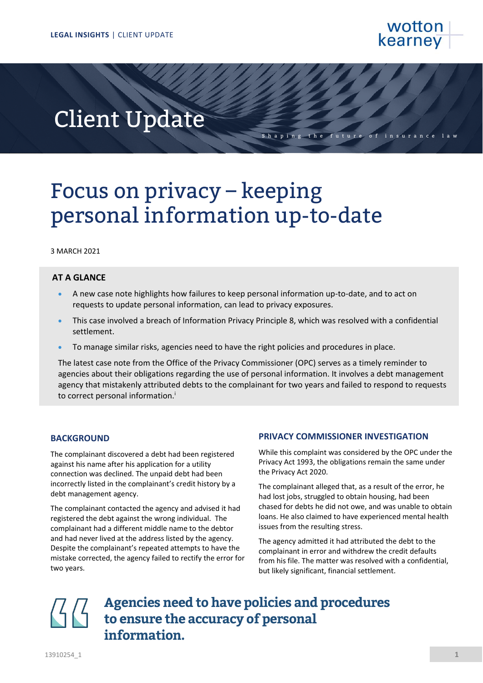

# Client Update

Shaping the future

## Focus on privacy – keeping personal information up-to-date

### 3 MARCH 2021

### **AT A GLANCE**

- A new case note highlights how failures to keep personal information up-to-date, and to act on requests to update personal information, can lead to privacy exposures.
- This case involved a breach of Information Privacy Principle 8, which was resolved with a confidential settlement.
- To manage similar risks, agencies need to have the right policies and procedures in place.

The latest case note from the Office of the Privacy Commissioner (OPC) serves as a timely reminder to agencies about their obligations regarding the use of personal information. It involves a debt management agency that mistakenly attributed debts to the complainant for two years and failed to respond to requests to correct personal information.<sup>i</sup>

### **BACKGROUND**

The complainant discovered a debt had been registered against his name after his application for a utility connection was declined. The unpaid debt had been incorrectly listed in the complainant's credit history by a debt management agency.

The complainant contacted the agency and advised it had registered the debt against the wrong individual. The complainant had a different middle name to the debtor and had never lived at the address listed by the agency. Despite the complainant's repeated attempts to have the mistake corrected, the agency failed to rectify the error for two years.

### **PRIVACY COMMISSIONER INVESTIGATION**

While this complaint was considered by the OPC under the Privacy Act 1993, the obligations remain the same under the Privacy Act 2020.

The complainant alleged that, as a result of the error, he had lost jobs, struggled to obtain housing, had been chased for debts he did not owe, and was unable to obtain loans. He also claimed to have experienced mental health issues from the resulting stress.

The agency admitted it had attributed the debt to the complainant in error and withdrew the credit defaults from his file. The matter was resolved with a confidential, but likely significant, financial settlement.

**Agencies need to have policies and procedures to ensure the accuracy of personal information.**